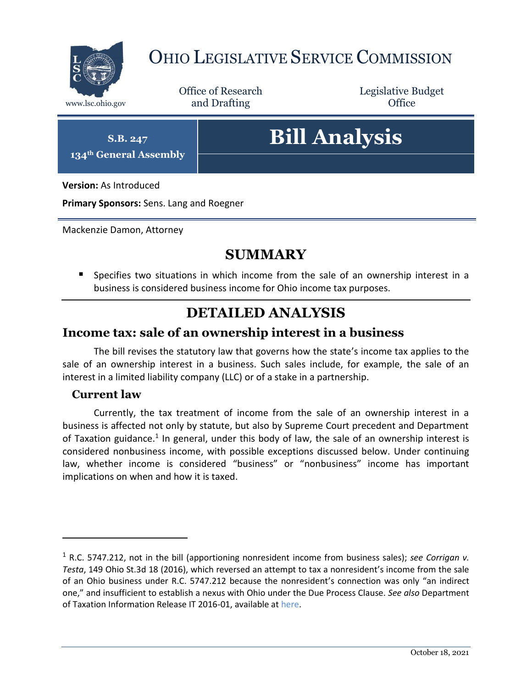

## OHIO LEGISLATIVE SERVICE COMMISSION

Office of Research www.lsc.ohio.gov **and Drafting Office** 

Legislative Budget

**S.B. 247**

**134th General Assembly**

# **Bill Analysis**

**Version:** As Introduced

**Primary Sponsors:** Sens. Lang and Roegner

Mackenzie Damon, Attorney

## **SUMMARY**

 Specifies two situations in which income from the sale of an ownership interest in a business is considered business income for Ohio income tax purposes.

## **DETAILED ANALYSIS**

#### **Income tax: sale of an ownership interest in a business**

The bill revises the statutory law that governs how the state's income tax applies to the sale of an ownership interest in a business. Such sales include, for example, the sale of an interest in a limited liability company (LLC) or of a stake in a partnership.

#### **Current law**

 $\overline{a}$ 

Currently, the tax treatment of income from the sale of an ownership interest in a business is affected not only by statute, but also by Supreme Court precedent and Department of Taxation guidance.<sup>1</sup> In general, under this body of law, the sale of an ownership interest is considered nonbusiness income, with possible exceptions discussed below. Under continuing law, whether income is considered "business" or "nonbusiness" income has important implications on when and how it is taxed.

<sup>1</sup> R.C. 5747.212, not in the bill (apportioning nonresident income from business sales); *see Corrigan v. Testa*, 149 Ohio St.3d 18 (2016), which reversed an attempt to tax a nonresident's income from the sale of an Ohio business under R.C. 5747.212 because the nonresident's connection was only "an indirect one," and insufficient to establish a nexus with Ohio under the Due Process Clause. *See also* Department of Taxation Information Release IT 2016-01, available a[t here.](https://tax.ohio.gov/static/ohio_individual/individual/information_releases/IR-IT201601.pdf)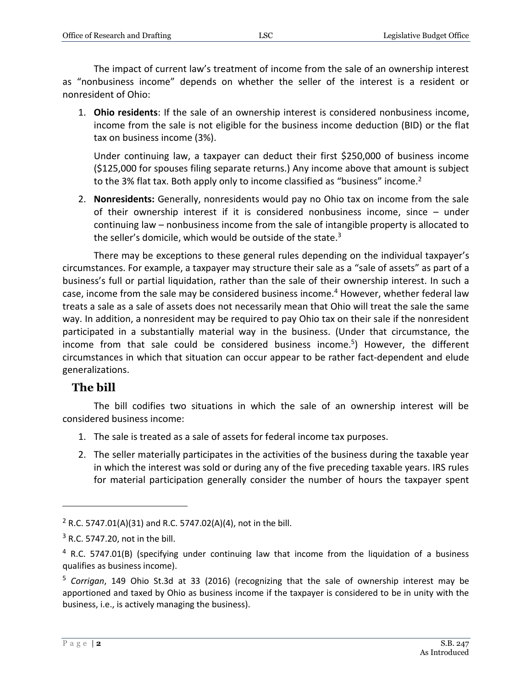The impact of current law's treatment of income from the sale of an ownership interest as "nonbusiness income" depends on whether the seller of the interest is a resident or nonresident of Ohio:

1. **Ohio residents**: If the sale of an ownership interest is considered nonbusiness income, income from the sale is not eligible for the business income deduction (BID) or the flat tax on business income (3%).

Under continuing law, a taxpayer can deduct their first \$250,000 of business income (\$125,000 for spouses filing separate returns.) Any income above that amount is subject to the 3% flat tax. Both apply only to income classified as "business" income.<sup>2</sup>

2. **Nonresidents:** Generally, nonresidents would pay no Ohio tax on income from the sale of their ownership interest if it is considered nonbusiness income, since – under continuing law – nonbusiness income from the sale of intangible property is allocated to the seller's domicile, which would be outside of the state. $3$ 

There may be exceptions to these general rules depending on the individual taxpayer's circumstances. For example, a taxpayer may structure their sale as a "sale of assets" as part of a business's full or partial liquidation, rather than the sale of their ownership interest. In such a case, income from the sale may be considered business income.<sup>4</sup> However, whether federal law treats a sale as a sale of assets does not necessarily mean that Ohio will treat the sale the same way. In addition, a nonresident may be required to pay Ohio tax on their sale if the nonresident participated in a substantially material way in the business. (Under that circumstance, the income from that sale could be considered business income.<sup>5</sup>) However, the different circumstances in which that situation can occur appear to be rather fact-dependent and elude generalizations.

#### **The bill**

The bill codifies two situations in which the sale of an ownership interest will be considered business income:

- 1. The sale is treated as a sale of assets for federal income tax purposes.
- 2. The seller materially participates in the activities of the business during the taxable year in which the interest was sold or during any of the five preceding taxable years. IRS rules for material participation generally consider the number of hours the taxpayer spent

 $\overline{a}$ 

<sup>&</sup>lt;sup>2</sup> R.C. 5747.01(A)(31) and R.C. 5747.02(A)(4), not in the bill.

 $3$  R.C. 5747.20, not in the bill.

<sup>4</sup> R.C. 5747.01(B) (specifying under continuing law that income from the liquidation of a business qualifies as business income).

<sup>5</sup> *Corrigan*, 149 Ohio St.3d at 33 (2016) (recognizing that the sale of ownership interest may be apportioned and taxed by Ohio as business income if the taxpayer is considered to be in unity with the business, i.e., is actively managing the business).